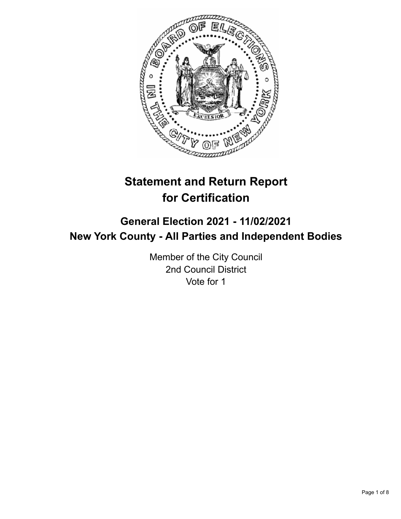

# **Statement and Return Report for Certification**

## **General Election 2021 - 11/02/2021 New York County - All Parties and Independent Bodies**

Member of the City Council 2nd Council District Vote for 1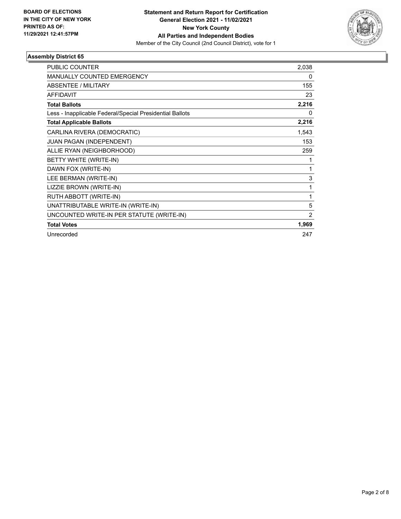

| <b>PUBLIC COUNTER</b>                                    | 2,038          |
|----------------------------------------------------------|----------------|
| <b>MANUALLY COUNTED EMERGENCY</b>                        | 0              |
| ABSENTEE / MILITARY                                      | 155            |
| <b>AFFIDAVIT</b>                                         | 23             |
| <b>Total Ballots</b>                                     | 2,216          |
| Less - Inapplicable Federal/Special Presidential Ballots | 0              |
| <b>Total Applicable Ballots</b>                          | 2,216          |
| CARLINA RIVERA (DEMOCRATIC)                              | 1,543          |
| JUAN PAGAN (INDEPENDENT)                                 | 153            |
| ALLIE RYAN (NEIGHBORHOOD)                                | 259            |
| BETTY WHITE (WRITE-IN)                                   | 1              |
| DAWN FOX (WRITE-IN)                                      | 1              |
| LEE BERMAN (WRITE-IN)                                    | 3              |
| LIZZIE BROWN (WRITE-IN)                                  | 1              |
| RUTH ABBOTT (WRITE-IN)                                   | 1              |
| UNATTRIBUTABLE WRITE-IN (WRITE-IN)                       | 5              |
| UNCOUNTED WRITE-IN PER STATUTE (WRITE-IN)                | $\overline{2}$ |
| <b>Total Votes</b>                                       | 1,969          |
| Unrecorded                                               | 247            |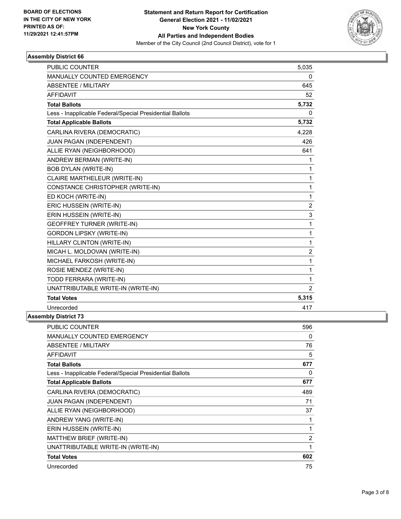

| MANUALLY COUNTED EMERGENCY                               | 0              |
|----------------------------------------------------------|----------------|
| ABSENTEE / MILITARY                                      | 645            |
| <b>AFFIDAVIT</b>                                         | 52             |
| <b>Total Ballots</b>                                     | 5,732          |
| Less - Inapplicable Federal/Special Presidential Ballots | <sup>0</sup>   |
| <b>Total Applicable Ballots</b>                          | 5,732          |
| CARLINA RIVERA (DEMOCRATIC)                              | 4,228          |
| JUAN PAGAN (INDEPENDENT)                                 | 426            |
| ALLIE RYAN (NEIGHBORHOOD)                                | 641            |
| ANDREW BERMAN (WRITE-IN)                                 | 1              |
| <b>BOB DYLAN (WRITE-IN)</b>                              | 1              |
| CLAIRE MARTHELEUR (WRITE-IN)                             | 1              |
| CONSTANCE CHRISTOPHER (WRITE-IN)                         | 1              |
| ED KOCH (WRITE-IN)                                       | 1              |
| ERIC HUSSEIN (WRITE-IN)                                  | $\overline{2}$ |
| ERIN HUSSEIN (WRITE-IN)                                  | 3              |
| <b>GEOFFREY TURNER (WRITE-IN)</b>                        | 1              |
| <b>GORDON LIPSKY (WRITE-IN)</b>                          | 1              |
| HILLARY CLINTON (WRITE-IN)                               | 1              |
| MICAH L. MOLDOVAN (WRITE-IN)                             | $\overline{2}$ |
| MICHAEL FARKOSH (WRITE-IN)                               | 1              |
| ROSIE MENDEZ (WRITE-IN)                                  | 1              |
| TODD FERRARA (WRITE-IN)                                  | 1              |
| UNATTRIBUTABLE WRITE-IN (WRITE-IN)                       | $\overline{2}$ |
| <b>Total Votes</b>                                       | 5,315          |
| Unrecorded                                               | 417            |

| <b>PUBLIC COUNTER</b>                                    | 596 |
|----------------------------------------------------------|-----|
| <b>MANUALLY COUNTED EMERGENCY</b>                        | 0   |
| ABSENTEE / MILITARY                                      | 76  |
| <b>AFFIDAVIT</b>                                         | 5   |
| <b>Total Ballots</b>                                     | 677 |
| Less - Inapplicable Federal/Special Presidential Ballots | 0   |
| <b>Total Applicable Ballots</b>                          | 677 |
| CARLINA RIVERA (DEMOCRATIC)                              | 489 |
| <b>JUAN PAGAN (INDEPENDENT)</b>                          | 71  |
| ALLIE RYAN (NEIGHBORHOOD)                                | 37  |
| ANDREW YANG (WRITE-IN)                                   | 1   |
| ERIN HUSSEIN (WRITE-IN)                                  | 1   |
| MATTHEW BRIEF (WRITE-IN)                                 | 2   |
| UNATTRIBUTABLE WRITE-IN (WRITE-IN)                       | 1   |
| <b>Total Votes</b>                                       | 602 |
| Unrecorded                                               | 75  |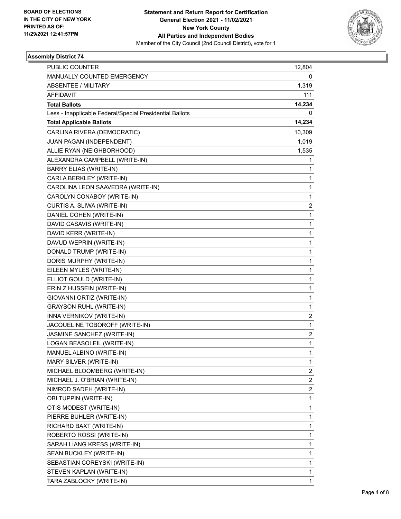

| <b>PUBLIC COUNTER</b>                                    | 12,804                  |
|----------------------------------------------------------|-------------------------|
| MANUALLY COUNTED EMERGENCY                               | 0                       |
| <b>ABSENTEE / MILITARY</b>                               | 1,319                   |
| <b>AFFIDAVIT</b>                                         | 111                     |
| <b>Total Ballots</b>                                     | 14,234                  |
| Less - Inapplicable Federal/Special Presidential Ballots | 0                       |
| <b>Total Applicable Ballots</b>                          | 14,234                  |
| CARLINA RIVERA (DEMOCRATIC)                              | 10,309                  |
| JUAN PAGAN (INDEPENDENT)                                 | 1,019                   |
| ALLIE RYAN (NEIGHBORHOOD)                                | 1,535                   |
| ALEXANDRA CAMPBELL (WRITE-IN)                            | 1                       |
| <b>BARRY ELIAS (WRITE-IN)</b>                            | 1                       |
| CARLA BERKLEY (WRITE-IN)                                 | 1                       |
| CAROLINA LEON SAAVEDRA (WRITE-IN)                        | $\mathbf{1}$            |
| CAROLYN CONABOY (WRITE-IN)                               | 1                       |
| CURTIS A. SLIWA (WRITE-IN)                               | $\overline{\mathbf{c}}$ |
| DANIEL COHEN (WRITE-IN)                                  | $\mathbf{1}$            |
| DAVID CASAVIS (WRITE-IN)                                 | 1                       |
| DAVID KERR (WRITE-IN)                                    | 1                       |
| DAVUD WEPRIN (WRITE-IN)                                  | $\mathbf{1}$            |
| DONALD TRUMP (WRITE-IN)                                  | 1                       |
| DORIS MURPHY (WRITE-IN)                                  | 1                       |
| EILEEN MYLES (WRITE-IN)                                  | 1                       |
| ELLIOT GOULD (WRITE-IN)                                  | 1                       |
| ERIN Z HUSSEIN (WRITE-IN)                                | 1                       |
| GIOVANNI ORTIZ (WRITE-IN)                                | $\mathbf{1}$            |
| <b>GRAYSON RUHL (WRITE-IN)</b>                           | 1                       |
| INNA VERNIKOV (WRITE-IN)                                 | $\overline{\mathbf{c}}$ |
| JACQUELINE TOBOROFF (WRITE-IN)                           | $\mathbf{1}$            |
| JASMINE SANCHEZ (WRITE-IN)                               | 2                       |
| LOGAN BEASOLEIL (WRITE-IN)                               | 1                       |
| MANUEL ALBINO (WRITE-IN)                                 | 1                       |
| MARY SILVER (WRITE-IN)                                   | 1                       |
| MICHAEL BLOOMBERG (WRITE-IN)                             | $\overline{\mathbf{c}}$ |
| MICHAEL J. O'BRIAN (WRITE-IN)                            | $\overline{\mathbf{c}}$ |
| NIMROD SADEH (WRITE-IN)                                  | $\overline{\mathbf{c}}$ |
| OBI TUPPIN (WRITE-IN)                                    | 1                       |
| OTIS MODEST (WRITE-IN)                                   | 1                       |
| PIERRE BUHLER (WRITE-IN)                                 | 1                       |
| RICHARD BAXT (WRITE-IN)                                  | 1                       |
| ROBERTO ROSSI (WRITE-IN)                                 | 1                       |
| SARAH LIANG KRESS (WRITE-IN)                             | 1                       |
| SEAN BUCKLEY (WRITE-IN)                                  | 1                       |
| SEBASTIAN COREYSKI (WRITE-IN)                            | 1                       |
| STEVEN KAPLAN (WRITE-IN)                                 | 1                       |
| TARA ZABLOCKY (WRITE-IN)                                 | 1                       |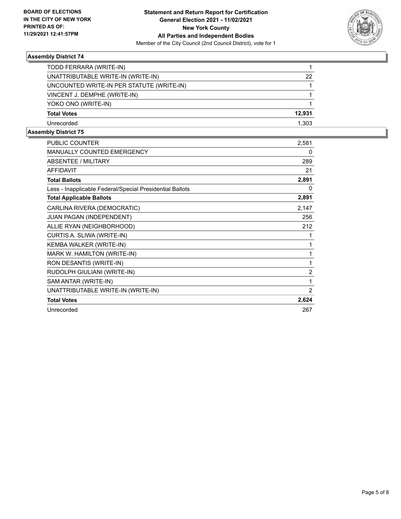

| TODD FERRARA (WRITE-IN)                   |        |
|-------------------------------------------|--------|
| UNATTRIBUTABLE WRITE-IN (WRITE-IN)        | 22     |
| UNCOUNTED WRITE-IN PER STATUTE (WRITE-IN) |        |
| VINCENT J. DEMPHE (WRITE-IN)              |        |
| YOKO ONO (WRITE-IN)                       |        |
| <b>Total Votes</b>                        | 12,931 |
| Unrecorded                                | 1.303  |

| <b>PUBLIC COUNTER</b>                                    | 2,581 |
|----------------------------------------------------------|-------|
| MANUALLY COUNTED EMERGENCY                               | 0     |
| <b>ABSENTEE / MILITARY</b>                               | 289   |
| <b>AFFIDAVIT</b>                                         | 21    |
| <b>Total Ballots</b>                                     | 2,891 |
| Less - Inapplicable Federal/Special Presidential Ballots | 0     |
| <b>Total Applicable Ballots</b>                          | 2,891 |
| CARLINA RIVERA (DEMOCRATIC)                              | 2,147 |
| JUAN PAGAN (INDEPENDENT)                                 | 256   |
| ALLIE RYAN (NEIGHBORHOOD)                                | 212   |
| CURTIS A. SLIWA (WRITE-IN)                               | 1     |
| KEMBA WALKER (WRITE-IN)                                  | 1     |
| MARK W. HAMILTON (WRITE-IN)                              | 1     |
| RON DESANTIS (WRITE-IN)                                  | 1     |
| RUDOLPH GIULIANI (WRITE-IN)                              | 2     |
| SAM ANTAR (WRITE-IN)                                     | 1     |
| UNATTRIBUTABLE WRITE-IN (WRITE-IN)                       | 2     |
| <b>Total Votes</b>                                       | 2,624 |
| Unrecorded                                               | 267   |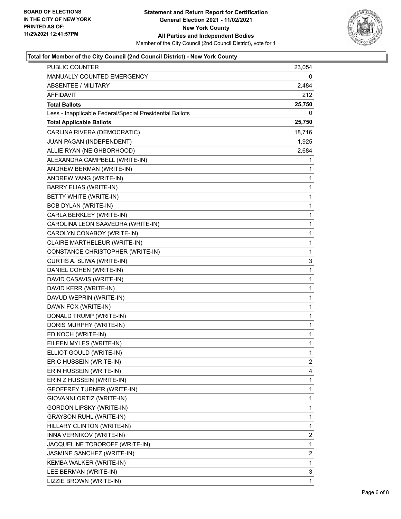

### **Total for Member of the City Council (2nd Council District) - New York County**

| PUBLIC COUNTER                                           | 23,054                  |
|----------------------------------------------------------|-------------------------|
| MANUALLY COUNTED EMERGENCY                               | 0                       |
| <b>ABSENTEE / MILITARY</b>                               | 2,484                   |
| <b>AFFIDAVIT</b>                                         | 212                     |
| <b>Total Ballots</b>                                     | 25,750                  |
| Less - Inapplicable Federal/Special Presidential Ballots | 0                       |
| <b>Total Applicable Ballots</b>                          | 25,750                  |
| CARLINA RIVERA (DEMOCRATIC)                              | 18,716                  |
| JUAN PAGAN (INDEPENDENT)                                 | 1,925                   |
| ALLIE RYAN (NEIGHBORHOOD)                                | 2,684                   |
| ALEXANDRA CAMPBELL (WRITE-IN)                            | 1                       |
| ANDREW BERMAN (WRITE-IN)                                 | 1                       |
| ANDREW YANG (WRITE-IN)                                   | 1                       |
| <b>BARRY ELIAS (WRITE-IN)</b>                            | 1                       |
| BETTY WHITE (WRITE-IN)                                   | 1                       |
| <b>BOB DYLAN (WRITE-IN)</b>                              | 1                       |
| CARLA BERKLEY (WRITE-IN)                                 | 1                       |
| CAROLINA LEON SAAVEDRA (WRITE-IN)                        | 1                       |
| CAROLYN CONABOY (WRITE-IN)                               | 1                       |
| CLAIRE MARTHELEUR (WRITE-IN)                             | 1                       |
| CONSTANCE CHRISTOPHER (WRITE-IN)                         | 1                       |
| CURTIS A. SLIWA (WRITE-IN)                               | 3                       |
| DANIEL COHEN (WRITE-IN)                                  | 1                       |
| DAVID CASAVIS (WRITE-IN)                                 | 1                       |
| DAVID KERR (WRITE-IN)                                    | 1                       |
| DAVUD WEPRIN (WRITE-IN)                                  | 1                       |
| DAWN FOX (WRITE-IN)                                      | 1                       |
| DONALD TRUMP (WRITE-IN)                                  | 1                       |
| DORIS MURPHY (WRITE-IN)                                  | 1                       |
| ED KOCH (WRITE-IN)                                       | 1                       |
| EILEEN MYLES (WRITE-IN)                                  | 1                       |
| ELLIOT GOULD (WRITE-IN)                                  | $\mathbf{1}$            |
| ERIC HUSSEIN (WRITE-IN)                                  | $\overline{2}$          |
| ERIN HUSSEIN (WRITE-IN)                                  | 4                       |
| ERIN Z HUSSEIN (WRITE-IN)                                | 1                       |
| <b>GEOFFREY TURNER (WRITE-IN)</b>                        | 1                       |
| GIOVANNI ORTIZ (WRITE-IN)                                | 1                       |
| <b>GORDON LIPSKY (WRITE-IN)</b>                          | 1                       |
| <b>GRAYSON RUHL (WRITE-IN)</b>                           | 1                       |
| HILLARY CLINTON (WRITE-IN)                               | 1                       |
| INNA VERNIKOV (WRITE-IN)                                 | $\overline{\mathbf{c}}$ |
| JACQUELINE TOBOROFF (WRITE-IN)                           | 1                       |
| JASMINE SANCHEZ (WRITE-IN)                               | 2                       |
| KEMBA WALKER (WRITE-IN)                                  | 1                       |
| LEE BERMAN (WRITE-IN)                                    | 3                       |
| LIZZIE BROWN (WRITE-IN)                                  | 1                       |
|                                                          |                         |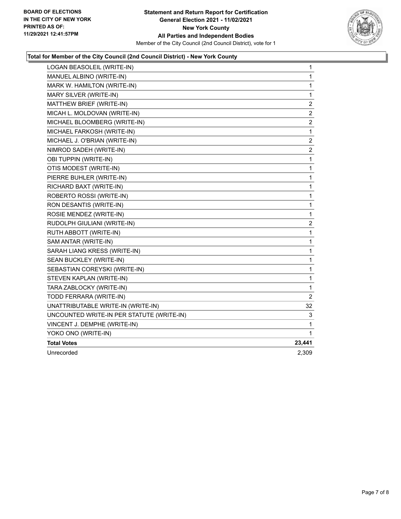

### **Total for Member of the City Council (2nd Council District) - New York County**

| LOGAN BEASOLEIL (WRITE-IN)                | 1              |
|-------------------------------------------|----------------|
| MANUEL ALBINO (WRITE-IN)                  | 1              |
| MARK W. HAMILTON (WRITE-IN)               | 1              |
| MARY SILVER (WRITE-IN)                    | $\mathbf{1}$   |
| MATTHEW BRIEF (WRITE-IN)                  | $\overline{c}$ |
| MICAH L. MOLDOVAN (WRITE-IN)              | $\overline{2}$ |
| MICHAEL BLOOMBERG (WRITE-IN)              | 2              |
| MICHAEL FARKOSH (WRITE-IN)                | 1              |
| MICHAEL J. O'BRIAN (WRITE-IN)             | $\overline{c}$ |
| NIMROD SADEH (WRITE-IN)                   | 2              |
| OBI TUPPIN (WRITE-IN)                     | 1              |
| OTIS MODEST (WRITE-IN)                    | $\mathbf{1}$   |
| PIERRE BUHLER (WRITE-IN)                  | $\mathbf 1$    |
| RICHARD BAXT (WRITE-IN)                   | 1              |
| ROBERTO ROSSI (WRITE-IN)                  | $\mathbf{1}$   |
| RON DESANTIS (WRITE-IN)                   | 1              |
| ROSIE MENDEZ (WRITE-IN)                   | 1              |
| RUDOLPH GIULIANI (WRITE-IN)               | 2              |
| RUTH ABBOTT (WRITE-IN)                    | 1              |
| SAM ANTAR (WRITE-IN)                      | 1              |
| SARAH LIANG KRESS (WRITE-IN)              | $\mathbf 1$    |
| SEAN BUCKLEY (WRITE-IN)                   | 1              |
| SEBASTIAN COREYSKI (WRITE-IN)             | 1              |
| STEVEN KAPLAN (WRITE-IN)                  | $\mathbf{1}$   |
| TARA ZABLOCKY (WRITE-IN)                  | 1              |
| TODD FERRARA (WRITE-IN)                   | 2              |
| UNATTRIBUTABLE WRITE-IN (WRITE-IN)        | 32             |
| UNCOUNTED WRITE-IN PER STATUTE (WRITE-IN) | 3              |
| VINCENT J. DEMPHE (WRITE-IN)              | 1              |
| YOKO ONO (WRITE-IN)                       | 1              |
| <b>Total Votes</b>                        | 23,441         |
| Unrecorded                                | 2.309          |